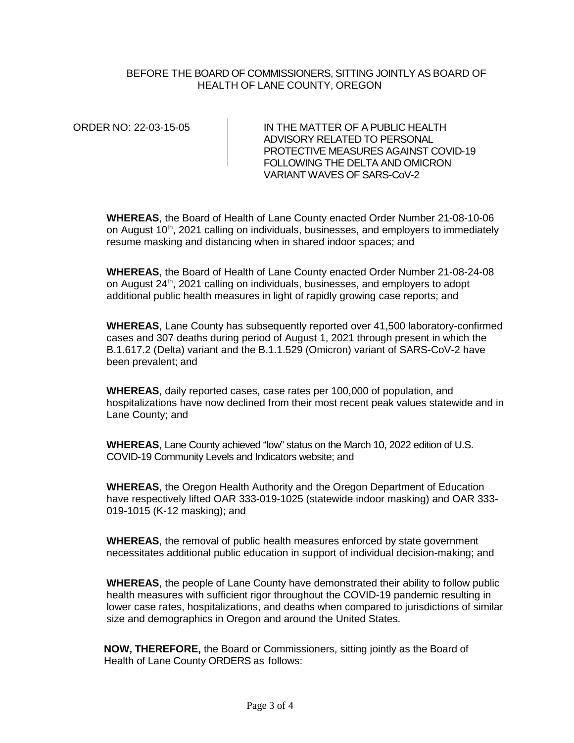BEFORE THE BOARD OF COMMISSIONERS, SITTING JOINTLY AS BOARD OF HEALTH OF LANE COUNTY, OREGON

ORDER NO: 22-03-15-05 IN THE MATTER OF A PUBLIC HEALTH ADVISORY RELATED TO PERSONAL PROTECTIVE MEASURES AGAINST COVID-19 FOLLOWING THE DELTA AND OMICRON VARIANT WAVES OF SARS-CoV-2

**WHEREAS**, the Board of Health of Lane County enacted Order Number 21-08-10-06 on August  $10<sup>th</sup>$ , 2021 calling on individuals, businesses, and employers to immediately resume masking and distancing when in shared indoor spaces; and

**WHEREAS**, the Board of Health of Lane County enacted Order Number 21-08-24-08 on August 24<sup>th</sup>, 2021 calling on individuals, businesses, and employers to adopt additional public health measures in light of rapidly growing case reports; and

**WHEREAS**, Lane County has subsequently reported over 41,500 laboratory-confirmed cases and 307 deaths during period of August 1, 2021 through present in which the B.1.617.2 (Delta) variant and the B.1.1.529 (Omicron) variant of SARS-CoV-2 have been prevalent; and

**WHEREAS**, daily reported cases, case rates per 100,000 of population, and hospitalizations have now declined from their most recent peak values statewide and in Lane County; and

**WHEREAS**, Lane County achieved "low" status on the March 10, 2022 edition of U.S. COVID-19 Community Levels and Indicators website; and

**WHEREAS**, the Oregon Health Authority and the Oregon Department of Education have respectively lifted OAR 333-019-1025 (statewide indoor masking) and OAR 333- 019-1015 (K-12 masking); and

**WHEREAS**, the removal of public health measures enforced by state government necessitates additional public education in support of individual decision-making; and

**WHEREAS**, the people of Lane County have demonstrated their ability to follow public health measures with sufficient rigor throughout the COVID-19 pandemic resulting in lower case rates, hospitalizations, and deaths when compared to jurisdictions of similar size and demographics in Oregon and around the United States.

**NOW, THEREFORE,** the Board or Commissioners, sitting jointly as the Board of Health of Lane County ORDERS as follows: